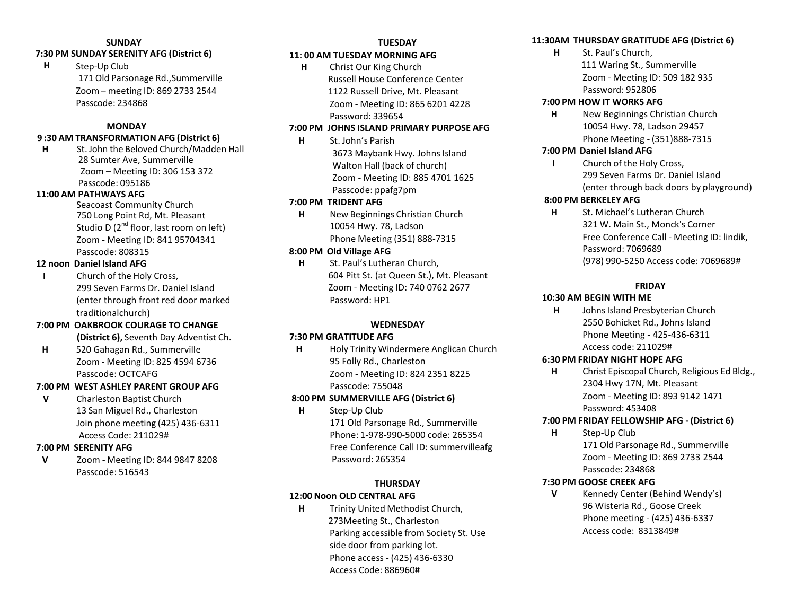# **SUNDAY**

## **7:30 PM SUNDAY SERENITY AFG (District 6)**

**H** Step-Up Club 171 Old Parsonage Rd.,Summerville Zoom – meeting ID: 869 2733 2544 Passcode: 234868

#### **MONDAY**

#### **9 :30 AM TRANSFORMATION AFG (District 6)**

**H** St. John the Beloved Church/Madden Hall 28 Sumter Ave, Summerville Zoom – Meeting ID: 306 153 372 Passcode: 095186

#### **11:00 AM PATHWAYS AFG**

Seacoast Community Church 750 Long Point Rd, Mt. Pleasant Studio D  $(2^{nd}$  floor, last room on left) Zoom - Meeting ID: 841 95704341 Passcode: 808315

#### **12 noon Daniel Island AFG**

**I** Church of the Holy Cross, 299 Seven Farms Dr. Daniel Island (enter through front red door marked traditionalchurch)

#### **7:00 PM OAKBROOK COURAGE TO CHANGE**

**(District 6),** Seventh Day Adventist Ch.

**H** 520 Gahagan Rd., Summerville Zoom - Meeting ID: 825 4594 6736 Passcode: OCTCAFG

#### **7:00 PM WEST ASHLEY PARENT GROUP AFG**

**V** Charleston Baptist Church 13 San Miguel Rd., Charleston Join phone meeting (425) 436-6311 Access Code: 211029#

#### **7:00 PM SERENITY AFG**

**V** Zoom - Meeting ID: 844 9847 8208 Passcode: 516543

#### **TUESDAY 11: 00 AM TUESDAY MORNING AFG**

**H** Christ Our King Church Russell House Conference Center 1122 Russell Drive, Mt. Pleasant Zoom - Meeting ID: 865 6201 4228 Password: 339654

#### **7:00 PM JOHNS ISLAND PRIMARY PURPOSE AFG**

**H** St. John's Parish 3673 Maybank Hwy. Johns Island Walton Hall (back of church) Zoom - Meeting ID: 885 4701 1625 Passcode: ppafg7pm

#### **7:00 PM TRIDENT AFG**

**H** New Beginnings Christian Church 10054 Hwy. 78, Ladson Phone Meeting (351) 888-7315

#### **8:00 PM Old Village AFG**

**H** St. Paul's Lutheran Church, 604 Pitt St. (at Queen St.), Mt. Pleasant Zoom - Meeting ID: 740 0762 2677 Password: HP1

#### **WEDNESDAY**

#### **7:30 PM GRATITUDE AFG**

**H** Holy Trinity Windermere Anglican Church 95 Folly Rd., Charleston Zoom - Meeting ID: 824 2351 8225 Passcode: 755048

#### **8:00 PM SUMMERVILLE AFG (District 6)**

**H** Step-Up Club 171 Old Parsonage Rd., Summerville Phone: 1-978-990-5000 code: 265354 Free Conference Call ID: summervilleafg Password: 265354

### **THURSDAY 12:00 Noon OLD CENTRAL AFG**

**H** Trinity United Methodist Church, 273Meeting St., Charleston Parking accessible from Society St. Use side door from parking lot. Phone access - (425) 436-6330 Access Code: 886960#

#### **11:30AM THURSDAY GRATITUDE AFG (District 6)**

**H** St. Paul's Church, 111 Waring St., Summerville Zoom - Meeting ID: 509 182 935 Password: 952806

#### **7:00 PM HOW IT WORKS AFG**

**H** New Beginnings Christian Church 10054 Hwy. 78, Ladson 29457 Phone Meeting - (351)888-7315

#### **7:00 PM Daniel Island AFG**

**I** Church of the Holy Cross, 299 Seven Farms Dr. Daniel Island (enter through back doors by playground)

#### **8:00 PM BERKELEY AFG**

**H** St. Michael's Lutheran Church 321 W. Main St., Monck's Corner Free Conference Call - Meeting ID: lindik, Password: 7069689 (978) 990-5250 Access code: 7069689#

#### **FRIDAY**

#### **10:30 AM BEGIN WITH ME**

**H** JohnsIsland Presbyterian Church 2550 Bohicket Rd., Johns Island Phone Meeting - 425-436-6311 Access code: 211029#

#### **6:30 PM FRIDAY NIGHT HOPE AFG**

**H** Christ Episcopal Church, Religious Ed Bldg., 2304 Hwy 17N, Mt. Pleasant Zoom - Meeting ID: 893 9142 1471 Password: 453408

#### **7:00 PM FRIDAY FELLOWSHIP AFG - (District 6)**

**H** Step-Up Club 171 Old Parsonage Rd., Summerville Zoom - Meeting ID: 869 2733 2544 Passcode: 234868

#### **7:30 PM GOOSE CREEK AFG**

**V** Kennedy Center (Behind Wendy's) 96 Wisteria Rd., Goose Creek Phone meeting - (425) 436-6337 Access code: 8313849#